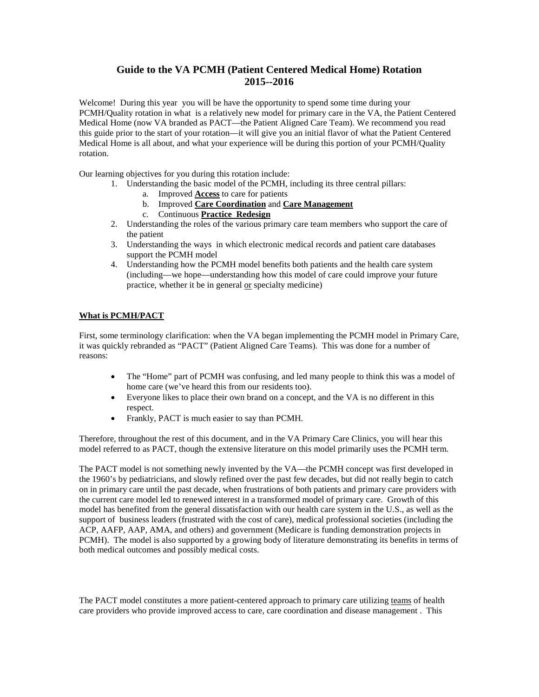# **Guide to the VA PCMH (Patient Centered Medical Home) Rotation 2015--2016**

Welcome! During this year you will be have the opportunity to spend some time during your PCMH/Quality rotation in what is a relatively new model for primary care in the VA, the Patient Centered Medical Home (now VA branded as PACT—the Patient Aligned Care Team). We recommend you read this guide prior to the start of your rotation—it will give you an initial flavor of what the Patient Centered Medical Home is all about, and what your experience will be during this portion of your PCMH/Quality rotation.

Our learning objectives for you during this rotation include:

- 1. Understanding the basic model of the PCMH, including its three central pillars:
	- a. Improved **Access** to care for patients
	- b. Improved **Care Coordination** and **Care Management**
	- c. Continuous **Practice Redesign**
- 2. Understanding the roles of the various primary care team members who support the care of the patient
- 3. Understanding the ways in which electronic medical records and patient care databases support the PCMH model
- 4. Understanding how the PCMH model benefits both patients and the health care system (including—we hope—understanding how this model of care could improve your future practice, whether it be in general or specialty medicine)

## **What is PCMH/PACT**

First, some terminology clarification: when the VA began implementing the PCMH model in Primary Care, it was quickly rebranded as "PACT" (Patient Aligned Care Teams). This was done for a number of reasons:

- The "Home" part of PCMH was confusing, and led many people to think this was a model of home care (we've heard this from our residents too).
- Everyone likes to place their own brand on a concept, and the VA is no different in this respect.
- Frankly, PACT is much easier to say than PCMH.

Therefore, throughout the rest of this document, and in the VA Primary Care Clinics, you will hear this model referred to as PACT, though the extensive literature on this model primarily uses the PCMH term.

The PACT model is not something newly invented by the VA—the PCMH concept was first developed in the 1960's by pediatricians, and slowly refined over the past few decades, but did not really begin to catch on in primary care until the past decade, when frustrations of both patients and primary care providers with the current care model led to renewed interest in a transformed model of primary care. Growth of this model has benefited from the general dissatisfaction with our health care system in the U.S., as well as the support of business leaders (frustrated with the cost of care), medical professional societies (including the ACP, AAFP, AAP, AMA, and others) and government (Medicare is funding demonstration projects in PCMH). The model is also supported by a growing body of literature demonstrating its benefits in terms of both medical outcomes and possibly medical costs.

The PACT model constitutes a more patient-centered approach to primary care utilizing teams of health care providers who provide improved access to care, care coordination and disease management . This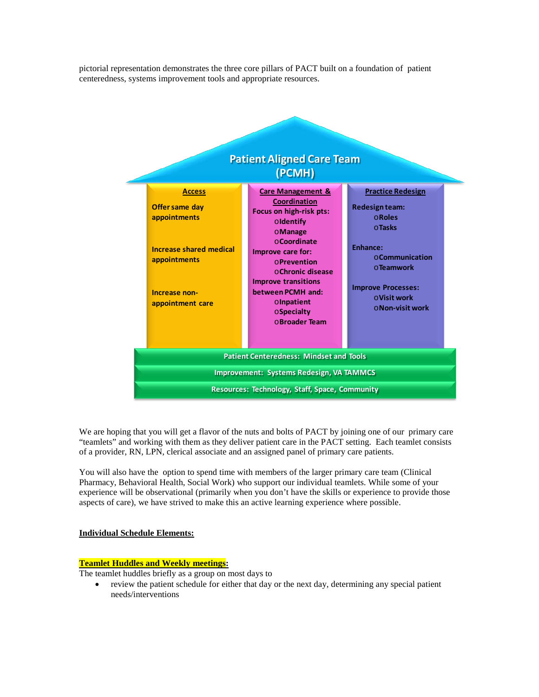pictorial representation demonstrates the three core pillars of PACT built on a foundation of patient centeredness, systems improvement tools and appropriate resources.



We are hoping that you will get a flavor of the nuts and bolts of PACT by joining one of our primary care "teamlets" and working with them as they deliver patient care in the PACT setting. Each teamlet consists of a provider, RN, LPN, clerical associate and an assigned panel of primary care patients.

You will also have the option to spend time with members of the larger primary care team (Clinical Pharmacy, Behavioral Health, Social Work) who support our individual teamlets. While some of your experience will be observational (primarily when you don't have the skills or experience to provide those aspects of care), we have strived to make this an active learning experience where possible.

#### **Individual Schedule Elements:**

#### **Teamlet Huddles and Weekly meetings:**

The teamlet huddles briefly as a group on most days to

• review the patient schedule for either that day or the next day, determining any special patient needs/interventions